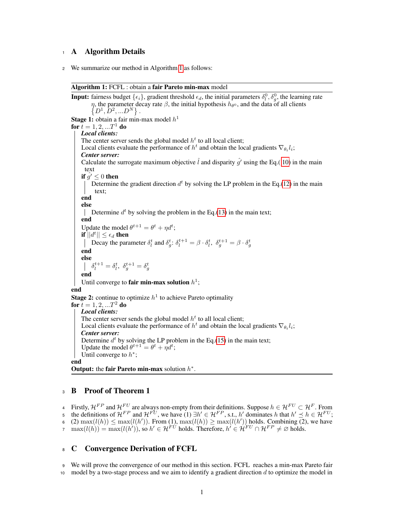# <span id="page-0-1"></span><sup>1</sup> A Algorithm Details

<sup>2</sup> We summarize our method in Algorithm [1](#page-0-0) as follows:

#### Algorithm 1: FCFL : obtain a fair Pareto min-max model

<span id="page-0-0"></span>**Input:** fairness budget  $\{\epsilon_i\}$ , gradient threshold  $\epsilon_d$ , the initial parameters  $\delta_l^0$ ,  $\delta_g^0$ , the learning rate  $\eta$ , the parameter decay rate  $\beta$ , the initial hypothesis  $h_{\theta^0}$ , and the data of all clients  $\{D^1, \overline{D}^2, ... D^N\}.$ **Stage 1:** obtain a fair min-max model  $h<sup>1</sup>$ for  $t = 1, 2, ...T^1$  do *Local clients:* The center server sends the global model  $h<sup>t</sup>$  to all local client; Local clients evaluate the performance of  $h^t$  and obtain the local gradients  $\nabla_{\theta_t} l_i$ ; *Center server:* Calculate the surrogate maximum objective  $\hat{l}$  and disparity  $\hat{q}'$  using the Eq.( 10) in the main text if  $q' \leq 0$  then Determine the gradient direction  $d^t$  by solving the LP problem in the Eq.(12) in the main text; end else Determine  $d^t$  by solving the problem in the Eq.(13) in the main text; end Update the model  $\theta^{t+1} = \theta^t + \eta d^t$ ; if  $\overline{||}d^t||\leq \epsilon_d$  then Decay the parameter  $\delta_l^t$  and  $\delta_g^t$ :  $\delta_l^{t+1} = \beta \cdot \delta_l^t$ ,  $\delta_g^{t+1} = \beta \cdot \delta_g^t$ end else  $\delta_l^{t+1} = \delta_l^t, \ \delta_g^{t+1} = \delta_g^t$ end Until converge to fair min-max solution  $h^1$ ; end **Stage 2:** continue to optimize  $h^1$  to achieve Pareto optimality for  $t = 1, 2, ...T^2$  do *Local clients:* The center server sends the global model  $h<sup>t</sup>$  to all local client; Local clients evaluate the performance of  $h^t$  and obtain the local gradients  $\nabla_{\theta_t} l_i$ ; *Center server:* Determine  $d^t$  by solving the LP problem in the Eq.(15) in the main text; Update the model  $\theta^{t+1} = \theta^t + \eta d^t$ ; Until converge to  $h^*$ ; end Output: the fair Pareto min-max solution  $h^*$ .

# <sup>3</sup> B Proof of Theorem 1

4 Firstly,  $H^{FP}$  and  $H^{FU}$  are always non-empty from their definitions. Suppose  $h \in H^{FU} \subset H^F$ . From 5 the definitions of  $\mathcal{H}^{FP}$  and  $\mathcal{H}^{FU}$ , we have (1)  $\exists h' \in \mathcal{H}^{FP}$ , s.t., h' dominates h that  $h' \preceq h \in \mathcal{H}^{FU}$ ; 6 (2)  $\max(l(h)) \leq \max(l(h'))$ . From (1),  $\max(l(h)) \geq \max(l(h'))$  holds. Combining (2), we have  $m \max(l(h)) = \max(l(h'))$ , so  $h' \in H^{F(t')}$  holds. Therefore,  $h' \in H^{F(t)} \cap H^{FP} \neq \emptyset$  holds.

# <sup>8</sup> C Convergence Derivation of FCFL

<sup>9</sup> We will prove the convergence of our method in this section. FCFL reaches a min-max Pareto fair 10 model by a two-stage process and we aim to identify a gradient direction  $d$  to optimize the model in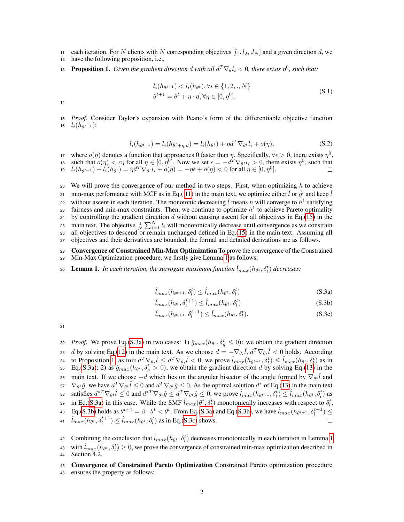11 each iteration. For N clients with N corresponding objectives  $[l_1, l_2, l_N]$  and a given direction d, we

<sup>12</sup> have the following proposition, i.e.,

<span id="page-1-1"></span>**13 Proposition 1.** *Given the gradient direction d with all*  $d^T \nabla_{\theta} l_i < 0$ *, there exists*  $\eta^0$ *, such that:* 

$$
l_i(h_{\theta^{t+1}}) < l_i(h_{\theta^t}), \forall i \in \{1, 2, .., N\}
$$
\n
$$
\theta^{t+1} = \theta^t + \eta \cdot d, \forall \eta \in [0, \eta^0].
$$
\n(S.1)

14

<span id="page-1-2"></span><sup>15</sup> *Proof.* Consider Taylor's expansion with Peano's form of the differentiable objective function 16  $l_i(h_{\theta^{t+1}})$ :

$$
l_i(h_{\theta^{t+1}}) = l_i(h_{\theta^t + \eta \cdot d}) = l_i(h_{\theta^t}) + \eta d^T \nabla_{\theta^t} l_i + o(\eta),
$$
\n(S.2)

where  $o(\eta)$  denotes a function that approaches 0 faster than  $\eta$ . Specifically,  $\forall \epsilon > 0$ , there exists  $\eta^0$ , 18 such that  $o(\eta) < \epsilon \eta$  for all  $\eta \in [0, \eta^0]$ . Now we set  $\epsilon = -d^T \nabla_{\theta} u_i > 0$ , there exists  $\eta^0$ , such that 19  $l_i(h_{\theta^{t+1}}) - l_i(h_{\theta^{t}}) = \eta d^T \nabla_{\theta^{t}} l_i + o(\eta) = -\eta \epsilon + o(\eta) < 0$  for all  $\eta \in [0, \eta^0].$ 

20 We will prove the convergence of our method in two steps. First, when optimizing h to achieve en min-max performance with MCF as in Eq.( [11\)](#page-0-1) in the main text, we optimize either  $\hat{l}$  or  $\hat{g'}$  and keep  $\hat{l}$ 22 without ascent in each iteration. The monotonic decreasing  $\hat{l}$  means h will converge to  $h^1$  satisfying as fairness and min-max constraints. Then, we continue to optimize  $h<sup>1</sup>$  to achieve Pareto optimality 24 by controlling the gradient direction  $d$  without causing ascent for all objectives in Eq.[\(15\)](#page-0-1) in the 25 main text. The objective  $\frac{1}{N} \sum_{i=1}^{N} l_i$  will monotonically decrease until convergence as we constrain <sup>26</sup> all objectives to descend or remain unchanged defined in Eq.[\(15\)](#page-0-1) in the main text. Assuming all <sup>27</sup> objectives and their derivatives are bounded, the formal and detailed derivations are as follows.

<sup>28</sup> Convergence of Constrained Min-Max Optimization To prove the convergence of the Constrained <sup>29</sup> Min-Max Optimization procedure, we firstly give Lemma [1](#page-1-0) as follows:

<span id="page-1-0"></span>30 Lemma 1. *In each iteration, the surrogate maximum function*  $\hat{l}_{max}(h_{\theta^t}, \delta_l^t)$  decreases:

$$
\hat{l}_{max}(h_{\theta^{t+1}}, \delta_l^t) \le \hat{l}_{max}(h_{\theta^t}, \delta_l^t)
$$
\n(S.3a)

$$
\hat{l}_{max}(h_{\theta^t}, \delta_l^{t+1}) \le \hat{l}_{max}(h_{\theta^t}, \delta_l^t)
$$
\n(S.3b)

$$
\hat{l}_{max}(h_{\theta^{t+1}}, \delta_l^{t+1}) \le \hat{l}_{max}(h_{\theta^t}, \delta_l^t). \tag{S.3c}
$$

31

*a Proof.* We prove Eq.[\(S.3a\)](#page-1-1) in two cases: 1)  $\hat{g}_{max}(h_{\theta^t}, \delta_g^t \leq 0)$ : we obtain the gradient direction 33 d by solving Eq.[\(12\)](#page-0-1) in the main text. As we choose  $d = -\nabla_{\theta_t} \hat{l}$ ,  $d^T \nabla_{\theta_t} \hat{l} < 0$  holds. According to Proposition [1,](#page-1-1) as  $\min d^T \nabla_{\theta_t} \hat{l} \leq d^T \nabla_{\theta_t} \hat{l} < 0$ , we prove  $\hat{l}_{max}(h_{\theta^{t+1}}, \delta_l^t) \leq \hat{l}_{max}(h_{\theta^t}, \delta_l^t)$  as in 35 Eq.[\(S.3a\)](#page-1-1); 2) as  $\hat{g}_{max}(h_{\theta^t}, \delta_g^t > 0)$ , we obtain the gradient direction d by solving Eq.[\(13\)](#page-0-1) in the 36 main text. If we choose  $-d$  which lies on the angular bisector of the angle formed by  $\nabla_{\theta^t} \hat{l}$  and 37  $\nabla_{\theta^t} \hat{g}$ , we have  $d^T \nabla_{\theta^t} \hat{l} \leq 0$  and  $d^T \nabla_{\theta^t} \hat{g} \leq 0$ . As the optimal solution  $d^*$  of Eq.[\(13\)](#page-0-1) in the main text satisfies  $d^{*T} \nabla_{\theta^t} \hat{l} \leq 0$  and  $d^{*T} \nabla_{\theta^t} \hat{g} \leq d^T \nabla_{\theta^t} \hat{g} \leq 0$ , we prove  $\hat{l}_{max}(h_{\theta^{t+1}}, \delta_l^t) \leq \hat{l}_{max}(h_{\theta^t}, \delta_l^t)$  as 39 in Eq.[\(S.3a\)](#page-1-1) in this case. While the SMF  $\hat{l}_{max}(\theta^t, \delta_l^t)$  monotonically increases with respect to  $\delta_l^t$ , 40 Eq.[\(S.3b\)](#page-1-2) holds as  $\theta^{t+1} = \beta \cdot \theta^t < \theta^t$ . From Eq.[\(S.3a\)](#page-1-1) and Eq.(S.3b), we have  $\hat{l}_{max}(h_{\theta^{t+1}}, \delta_l^{t+1}) \leq$ 41  $\hat{l}_{max}(h_{\theta^t}, \delta_l^{t+1}) \leq \hat{l}_{max}(h_{\theta^t}, \delta_l^t)$  as in Eq.[\(S.3c\)](#page-1-0) shows.  $\Box$ 42 Combining the conclusion that  $\hat{l}_{max}(h_{\theta^t}, \delta_l^t)$  decreases monotonically in each iteration in Lemma [1](#page-1-0)

- 43 with  $\hat{l}_{max}(h_{\theta^t}, \delta_l^t) \ge 0$ , we prove the convergence of constrained min-max optimization described in
- <sup>44</sup> Section 4.2.

#### <sup>45</sup> Convergence of Constrained Pareto Optimization Constrained Pareto optimization procedure

<sup>46</sup> ensures the property as follows: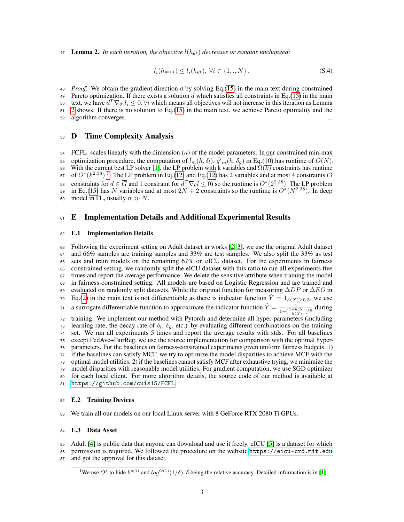<span id="page-2-0"></span>**Lemma 2.** In each iteration, the objective  $l(h_{\theta t})$  decreases or remains unchanged:

$$
l_i(h_{\theta^{t+1}}) \le l_i(h_{\theta^t}), \ \forall i \in \{1,.,N\}.
$$
 (S.4)

<sup>48</sup> *Proof.* We obtain the gradient direction d by solving Eq.[\(15\)](#page-0-1) in the main text during constrained 49 Pareto optimization. If there exists a solution d which satisfies all constraints in Eq.[\(15\)](#page-0-1) in the main so text, we have  $d^T \nabla_{\theta^t} l_i \leq 0$ ,  $\forall i$  which means all objectives will not increase in this iteration as Lemma <sup>51</sup> [2](#page-2-0) shows. If there is no solution to Eq.[\(15\)](#page-0-1) in the main text, we achieve Pareto optimality and the <sup>52</sup> algorithm converges.  $\Box$ 

# <sup>53</sup> D Time Complexity Analysis

 $54$  FCFL scales linearly with the dimension  $(n)$  of the model parameters. In our constrained min-max ss optimization procedure, the computation of  $\hat{l}_m(h, \delta_l)$ ,  $\hat{g'}_m(h, \delta_g)$  in Eq.[\(10\)](#page-0-1) has runtime of  $O(N)$ . 56 With the current best LP solver [\[1\]](#page-6-0), the LP problem with k variables and  $\Omega(k)$  constraints has runtime 57 of  $O^*(k^{2.38})$ <sup>[1](#page-2-1)</sup>. The LP problem in Eq.[\(12\)](#page-0-1) and Eq.(12) has 2 variables and at most 4 constraints (3 sa constraints for  $d \in \overline{G}$  and 1 constraint for  $d^T \nabla_{\theta} \hat{l} \leq 0$ ) so the runtime is  $O^*(2^{2.38})$ . The LP problem 59 in Eq.[\(15\)](#page-0-1) has N variables and at most  $2N + 2$  constraints so the runtime is  $O<sup>*</sup>(N<sup>2.38</sup>)$ . In deep 60 model in FL, usually  $n \gg N$ .

# 61 E Implementation Details and Additional Experimental Results

#### <sup>62</sup> E.1 Implementation Details

 Following the experiment setting on Adult dataset in works [\[2,](#page-6-1) [3\]](#page-6-2), we use the original Adult dataset and 66% samples are training samples and 33% are test samples. We also split the 33% as test sets and train models on the remaining 67% on eICU dataset. For the experiments in fairness constrained setting, we randomly split the eICU dataset with this ratio to run all experiments five times and report the average performance. We delete the sensitive attribute when training the model in fairness-constrained setting. All models are based on Logistic Regression and are trained and 69 evaluated on randomly split datasets. While the original function for measuring  $\Delta DP$  or  $\Delta EO$  in  $E_q(2)$  $E_q(2)$  in the main text is not differentiable as there is indicator function  $\hat{Y} = 1_{h(X)\geq 0.5}$ , we use a surrogate differentiable function to approximate the indicator function  $\hat{Y} = \frac{1}{1 + (\frac{1-h(X)}{h(X)})^{10}}$  during training. We implement our method with Pytorch and determine all hyper-parameters (including  $\tau_3$  learning rate, the decay rate of  $\delta_l$ ,  $\delta_q$ , etc.) by evaluating different combinations on the training set. We run all experiments 5 times and report the average results with stds. For all baselines except FedAve+FairReg, we use the source implementation for comparison with the optimal hyper- parameters. For the baselines on fairness-constrained experiments given uniform fairness budgets, 1) if the baselines can satisfy MCF, we try to optimize the model disparities to achieve MCF with the optimal model utilities; 2) if the baselines cannot satisfy MCF after exhaustive trying, we minimize the model disparities with reasonable model utilities. For gradient computation, we use SGD optimizer for each local client. For more algorithm details, the source code of our method is available at <https://github.com/cuis15/FCFL>.

#### 82 E.2 Training Devices

<sup>83</sup> We train all our models on our local Linux server with 8 GeForce RTX 2080 Ti GPUs.

### <sup>84</sup> E.3 Data Asset

<sup>85</sup> Adult [\[4\]](#page-6-3) is public data that anyone can download and use it freely. eICU [\[5\]](#page-6-4) is a dataset for which

86 permission is required. We followed the procedure on the website <https://eicu-crd.mit.edu>

<sup>87</sup> and got the approval for this dataset.

<span id="page-2-1"></span><sup>&</sup>lt;sup>1</sup>We use  $O^*$  to hide  $k^{o(1)}$  and  $log^{O(1)}(1/\delta)$ ,  $\delta$  being the relative accuracy. Detailed information is in [\[1\]](#page-6-0)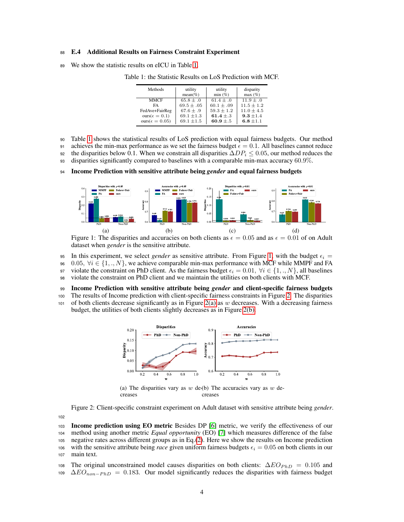#### <sup>88</sup> E.4 Additional Results on Fairness Constraint Experiment

<sup>89</sup> We show the statistic results on eICU in Table [1.](#page-3-0)

<span id="page-3-0"></span>

| Methods                  | utility        | utility        | disparity      |
|--------------------------|----------------|----------------|----------------|
|                          | $mean(\%)$     | min(%)         | max(%)         |
| <b>MMCF</b>              | $65.8 \pm .0$  | $61.4 + .0$    | $11.9 + .0$    |
| FA                       | $69.5 \pm .05$ | $60.1 \pm .09$ | $11.5 \pm 1.2$ |
| FedAve+FairReg           | $67.6 \pm .9$  | $59.3 \pm 1.2$ | $11.0 \pm 4.5$ |
| $ours(\epsilon = 0.1)$   | $69.1 \pm 1.3$ | 61.4 $\pm$ .3  | $9.3 \pm 1.4$  |
| ours $(\epsilon = 0.05)$ | $69.1 \pm 1.5$ | 60.9 $\pm$ .5  | $6.8 \pm 1.1$  |

Table 1: the Statistic Results on LoS Prediction with MCF.

- <sup>90</sup> Table [1](#page-3-0) shows the statistical results of LoS prediction with equal fairness budgets. Our method
- 91 achieves the min-max performance as we set the fairness budget  $\epsilon = 0.1$ . All baselines cannot reduce
- 92 the disparities below 0.1. When we constrain all disparities  $\Delta DP_i \leq 0.05$ , our method reduces the

<sup>93</sup> disparities significantly compared to baselines with a comparable min-max accuracy 60.9%.

#### <sup>94</sup> Income Prediction with sensitive attribute being *gender* and equal fairness budgets



<span id="page-3-1"></span>Figure 1: The disparities and accuracies on both clients as  $\epsilon = 0.05$  and as  $\epsilon = 0.01$  of on Adult dataset when *gender* is the sensitive attribute.

95 In this experiment, we select *gender* as sensitive attribute. From Figure [1,](#page-3-1) with the budget  $\epsilon_i$  =

96 0.05,  $\forall i \in \{1,..,N\}$ , we achieve comparable min-max performance with MCF while MMPF and FA

97 violate the constraint on PhD client. As the fairness budget  $\epsilon_i = 0.01$ ,  $\forall i \in \{1,..,N\}$ , all baselines

<sup>98</sup> violate the constraint on PhD client and we maintain the utilities on both clients with MCF.

<sup>99</sup> Income Prediction with sensitive attribute being *gender* and client-specific fairness budgets

<sup>100</sup> The results of Income prediction with client-specific fairness constraints in Figure [2.](#page-3-2) The disparities

<span id="page-3-3"></span>101 of both clients decrease significantly as in Figure [2\(a\)](#page-3-3) as  $w$  decreases. With a decreasing fairness budget, the utilities of both clients slightly decreases as in Figure [2\(b\).](#page-3-4)



<span id="page-3-4"></span><span id="page-3-2"></span>(a) The disparities vary as  $w$  de-(b) The accuracies vary as  $w$  decreases creases

Figure 2: Client-specific constraint experiment on Adult dataset with sensitive attribute being *gender*.

102

 Income prediction using EO metric Besides DP [\[6\]](#page-6-5) metric, we verify the effectiveness of our method using another metric *Equal opportunity* (EO) [\[7\]](#page-6-6) which measures difference of the false negative rates across different groups as in Eq.[\(2\)](#page-1-2). Here we show the results on Income prediction 106 with the sensitive attribute being *race* given uniform fairness budgets  $\epsilon_i = 0.05$  on both clients in our main text.

108 The original unconstrained model causes disparities on both clients:  $\Delta E O_{PhD} = 0.105$  and  $\Delta EO_{non-PhD} = 0.183$ . Our model significantly reduces the disparities with fairness budget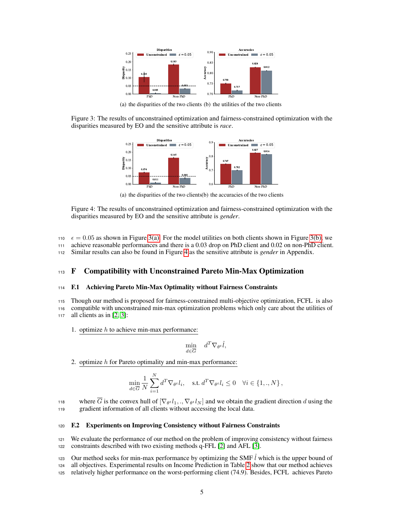<span id="page-4-0"></span>

<span id="page-4-1"></span>(a) the disparities of the two clients (b) the utilities of the two clients

Figure 3: The results of unconstrained optimization and fairness-constrained optimization with the disparities measured by EO and the sensitive attribute is *race*.



<span id="page-4-2"></span>(a) the disparities of the two clients (b) the accuracies of the two clients

Figure 4: The results of unconstrained optimization and fairness-constrained optimization with the disparities measured by EO and the sensitive attribute is *gender*.

- 110  $\epsilon = 0.05$  as shown in Figure [3\(a\).](#page-4-0) For the model utilities on both clients shown in Figure [3\(b\),](#page-4-1) we
- <sup>111</sup> achieve reasonable performances and there is a 0.03 drop on PhD client and 0.02 on non-PhD client.

<sup>112</sup> Similar results can also be found in Figure [4](#page-4-2) as the sensitive attribute is *gender* in Appendix.

## <sup>113</sup> F Compatibility with Unconstrained Pareto Min-Max Optimization

#### <sup>114</sup> F.1 Achieving Pareto Min-Max Optimality without Fairness Constraints

<sup>115</sup> Though our method is proposed for fairness-constrained multi-objective optimization, FCFL is also

<sup>116</sup> compatible with unconstrained min-max optimization problems which only care about the utilities of <sup>117</sup> all clients as in [\[2,](#page-6-1) [3\]](#page-6-2):

1. optimize  $h$  to achieve min-max performance:

$$
\min_{d \in \overline{G}} \quad d^T \nabla_{\theta^t} \hat{l},
$$

2. optimize  $h$  for Pareto optimality and min-max performance:

$$
\min_{d \in \overline{G}} \frac{1}{N} \sum_{i=1}^N d^T \nabla_{\theta^t} l_i, \quad \text{s.t.} \ d^T \nabla_{\theta^t} l_i \le 0 \quad \forall i \in \{1,..,N\} \,,
$$

where G is the convex hull of  $[\nabla_{\theta^t} l_1,., \nabla_{\theta^t} l_N]$  and we obtain the gradient direction d using the <sup>119</sup> gradient information of all clients without accessing the local data.

#### <sup>120</sup> F.2 Experiments on Improving Consistency without Fairness Constraints

<sup>121</sup> We evaluate the performance of our method on the problem of improving consistency without fairness <sup>122</sup> constraints described with two existing methods q-FFL [\[2\]](#page-6-1) and AFL [\[3\]](#page-6-2).

123 Our method seeks for min-max performance by optimizing the SMF  $\hat{l}$  which is the upper bound of <sup>124</sup> all objectives. Experimental results on Income Prediction in Table [2](#page-5-0) show that our method achieves <sup>125</sup> relatively higher performance on the worst-performing client (74.9). Besides, FCFL achieves Pareto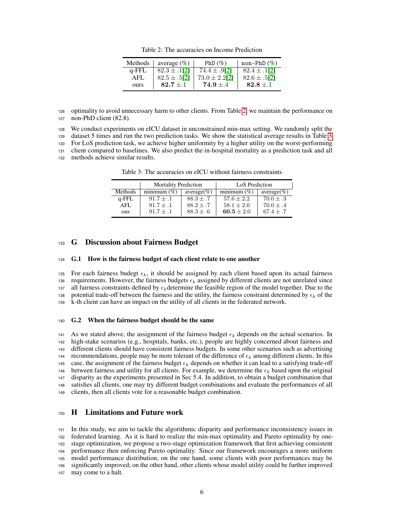<span id="page-5-0"></span>Table 2: The accuracies on Income Prediction

| Methods | average $(\%)$   | PhD $(\%)$        | $non-PhD$ (%)    |
|---------|------------------|-------------------|------------------|
| q-FFL   | $82.3 \pm .1121$ | 74.4 $\pm$ .9[2]  | $82.4 \pm .1121$ |
| AFI.    | $82.5 \pm .5[2]$ | $73.0 \pm 2.2[2]$ | $82.6 \pm .5[2]$ |
| ours    | $82.7 \pm .1$    | $74.9 \pm .4$     | $82.8 \pm .1$    |

<sup>126</sup> optimality to avoid unnecessary harm to other clients. From Table [2,](#page-5-0) we maintain the performance on <sup>127</sup> non-PhD client (82.8).

<sup>128</sup> We conduct experiments on eICU dataset in unconstrained min-max setting. We randomly split the

<sup>129</sup> dataset 5 times and run the two prediction tasks. We show the statistical average results in Table [3.](#page-5-1)

<sup>130</sup> For LoS prediction task, we achieve higher uniformity by a higher utility on the worst-performing

<sup>131</sup> client compared to baselines. We also predict the in-hospital mortality as a prediction task and all

<sup>132</sup> methods achieve similar results.

<span id="page-5-1"></span>Table 3: The accuracies on eICU without fairness constraints

|          | <b>Mortality Prediction</b> |               | LoS Prediction |               |
|----------|-----------------------------|---------------|----------------|---------------|
| Methods  | minimum $(\% )$             | $average(\%)$ | minimum $(\%)$ | $average(\%)$ |
| $q$ -FFL | $91.7 + .1$                 | $88.3 + .7$   | $57.6 + 2.2$   | $70.0 + .3$   |
| AFI.     | $91.7 + .1$                 | $88.2 \pm .7$ | $58.1 + 2.0$   | $70.0 \pm .4$ |
| ous      | $91.7 \pm .1$               | $88.3 \pm .6$ | 60.5 $\pm 2.0$ | $67.4 + .7$   |

### <sup>133</sup> G Discussion about Fairness Budget

#### <sup>134</sup> G.1 How is the fairness budget of each client relate to one another

135 For each fairness budegt  $\epsilon_k$ , it should be assigned by each client based upon its actual fairness 136 requirements. However, the fairness budgets  $\epsilon_k$  assigned by different clients are not unrelated since 137 all fairness constraints defined by  $\epsilon_k$  determine the feasible region of the model together. Due to the 138 potential trade-off between the fairness and the utility, the fairness constraint determined by  $\epsilon_k$  of the <sup>139</sup> k-th client can have an impact on the utility of all clients in the federated network.

#### <sup>140</sup> G.2 When the fairness budget should be the same

141 As we stated above, the assignment of the fairness budget  $\epsilon_k$  depends on the actual scenarios. In <sup>142</sup> high-stake scenarios (e.g., hospitals, banks, etc.), people are highly concerned about fairness and <sup>143</sup> different clients should have consistent fairness budgets. In some other scenarios such as advertising 144 recommendations, people may be more tolerant of the difference of  $\epsilon_k$  among different clients. In this 145 case, the assignment of the fairness budget  $\epsilon_k$  depends on whether it can lead to a satisfying trade-off 146 between fairness and utility for all clients. For example, we determine the  $\epsilon_k$  based upon the original <sup>147</sup> disparity as the experiments presented in Sec 5.4. In addition, to obtain a budget combination that <sup>148</sup> satisfies all clients, one may try different budget combinations and evaluate the performances of all <sup>149</sup> clients, then all clients vote for a reasonable budget combination.

## <sup>150</sup> H Limitations and Future work

 In this study, we aim to tackle the algorithmic disparity and performance inconsistency issues in federated learning. As it is hard to realize the min-max optimality and Pareto optimality by one- stage optimization, we propose a two-stage optimization framework that first achieving consistent performance then enforcing Pareto optimality. Since our framework encourages a more uniform model performance distribution, on the one hand, some clients with poor performances may be significantly improved; on the other hand, other clients whose model utility could be further improved may come to a halt.